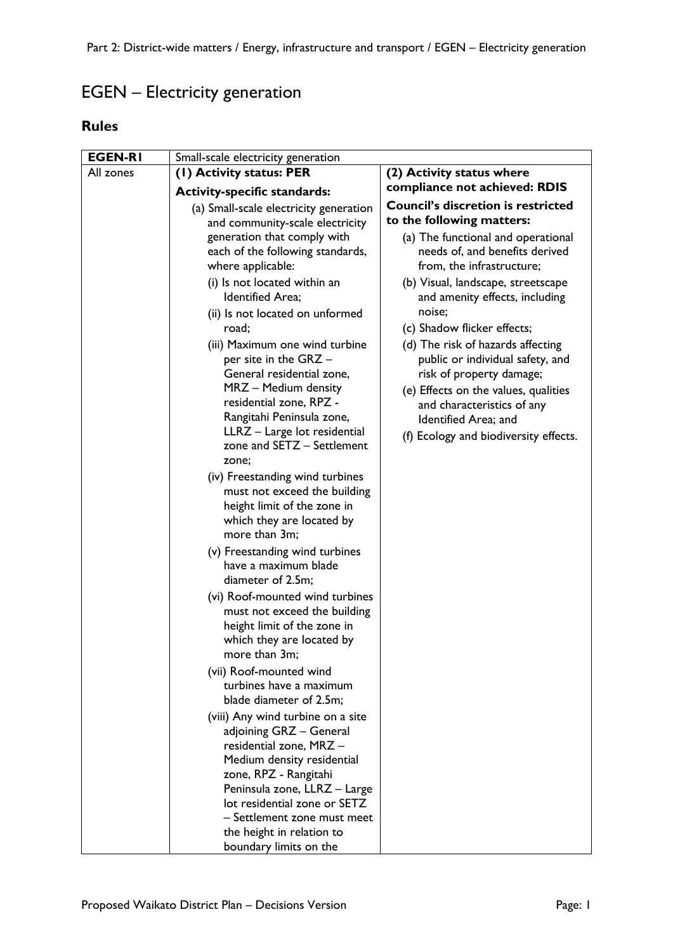## EGEN – Electricity generation

## **Rules**

| <b>EGEN-RI</b> | Small-scale electricity generation                                                                                                           |                                                                                                                                                                         |
|----------------|----------------------------------------------------------------------------------------------------------------------------------------------|-------------------------------------------------------------------------------------------------------------------------------------------------------------------------|
| All zones      | (I) Activity status: PER                                                                                                                     | (2) Activity status where                                                                                                                                               |
|                | <b>Activity-specific standards:</b>                                                                                                          | compliance not achieved: RDIS                                                                                                                                           |
|                | (a) Small-scale electricity generation<br>and community-scale electricity                                                                    | <b>Council's discretion is restricted</b><br>to the following matters:                                                                                                  |
|                | generation that comply with<br>each of the following standards,<br>where applicable:                                                         | (a) The functional and operational<br>needs of, and benefits derived<br>from, the infrastructure;                                                                       |
|                | (i) Is not located within an<br>Identified Area;<br>(ii) Is not located on unformed                                                          | (b) Visual, landscape, streetscape<br>and amenity effects, including<br>noise;                                                                                          |
|                | road;                                                                                                                                        | (c) Shadow flicker effects;                                                                                                                                             |
|                | (iii) Maximum one wind turbine<br>per site in the GRZ -<br>General residential zone,<br>MRZ - Medium density<br>residential zone, RPZ -      | (d) The risk of hazards affecting<br>public or individual safety, and<br>risk of property damage;<br>(e) Effects on the values, qualities<br>and characteristics of any |
|                | Rangitahi Peninsula zone,<br>LLRZ - Large lot residential<br>zone and SETZ - Settlement<br>zone;                                             | Identified Area; and<br>(f) Ecology and biodiversity effects.                                                                                                           |
|                | (iv) Freestanding wind turbines<br>must not exceed the building<br>height limit of the zone in<br>which they are located by<br>more than 3m; |                                                                                                                                                                         |
|                | (v) Freestanding wind turbines<br>have a maximum blade<br>diameter of 2.5m;                                                                  |                                                                                                                                                                         |
|                | (vi) Roof-mounted wind turbines<br>must not exceed the building<br>height limit of the zone in<br>which they are located by<br>more than 3m; |                                                                                                                                                                         |
|                | (vii) Roof-mounted wind<br>turbines have a maximum<br>blade diameter of 2.5m;                                                                |                                                                                                                                                                         |
|                | (viii) Any wind turbine on a site<br>adjoining GRZ - General<br>residential zone, MRZ -<br>Medium density residential                        |                                                                                                                                                                         |
|                | zone, RPZ - Rangitahi<br>Peninsula zone, LLRZ - Large<br>lot residential zone or SETZ                                                        |                                                                                                                                                                         |
|                | - Settlement zone must meet<br>the height in relation to<br>boundary limits on the                                                           |                                                                                                                                                                         |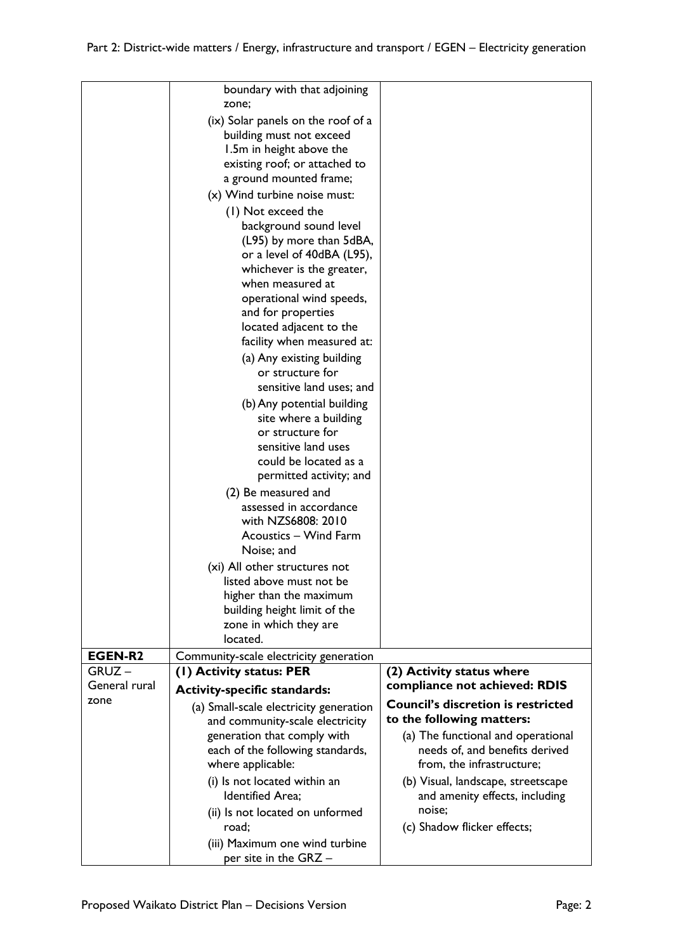|                | boundary with that adjoining<br>zone;              |                                           |
|----------------|----------------------------------------------------|-------------------------------------------|
|                | (ix) Solar panels on the roof of a                 |                                           |
|                | building must not exceed                           |                                           |
|                | 1.5m in height above the                           |                                           |
|                | existing roof; or attached to                      |                                           |
|                | a ground mounted frame;                            |                                           |
|                | (x) Wind turbine noise must:                       |                                           |
|                |                                                    |                                           |
|                | (1) Not exceed the                                 |                                           |
|                | background sound level<br>(L95) by more than 5dBA, |                                           |
|                | or a level of 40dBA (L95),                         |                                           |
|                | whichever is the greater,                          |                                           |
|                | when measured at                                   |                                           |
|                | operational wind speeds,                           |                                           |
|                | and for properties                                 |                                           |
|                | located adjacent to the                            |                                           |
|                | facility when measured at:                         |                                           |
|                | (a) Any existing building                          |                                           |
|                | or structure for                                   |                                           |
|                | sensitive land uses; and                           |                                           |
|                | (b) Any potential building                         |                                           |
|                | site where a building                              |                                           |
|                | or structure for                                   |                                           |
|                | sensitive land uses                                |                                           |
|                | could be located as a                              |                                           |
|                | permitted activity; and                            |                                           |
|                | (2) Be measured and                                |                                           |
|                | assessed in accordance                             |                                           |
|                | with NZS6808: 2010                                 |                                           |
|                | Acoustics - Wind Farm                              |                                           |
|                | Noise; and                                         |                                           |
|                | (xi) All other structures not                      |                                           |
|                | listed above must not be                           |                                           |
|                | higher than the maximum                            |                                           |
|                | building height limit of the                       |                                           |
|                | zone in which they are                             |                                           |
|                | located.                                           |                                           |
| <b>EGEN-R2</b> | Community-scale electricity generation             |                                           |
| $GRUZ -$       | (1) Activity status: PER                           | (2) Activity status where                 |
| General rural  | <b>Activity-specific standards:</b>                | compliance not achieved: RDIS             |
| zone           | (a) Small-scale electricity generation             | <b>Council's discretion is restricted</b> |
|                | and community-scale electricity                    | to the following matters:                 |
|                | generation that comply with                        | (a) The functional and operational        |
|                | each of the following standards,                   | needs of, and benefits derived            |
|                | where applicable:                                  | from, the infrastructure;                 |
|                | (i) Is not located within an                       | (b) Visual, landscape, streetscape        |
|                | Identified Area;                                   | and amenity effects, including            |
|                | (ii) Is not located on unformed                    | noise;                                    |
|                | road;                                              | (c) Shadow flicker effects;               |
|                | (iii) Maximum one wind turbine                     |                                           |
|                | per site in the GRZ -                              |                                           |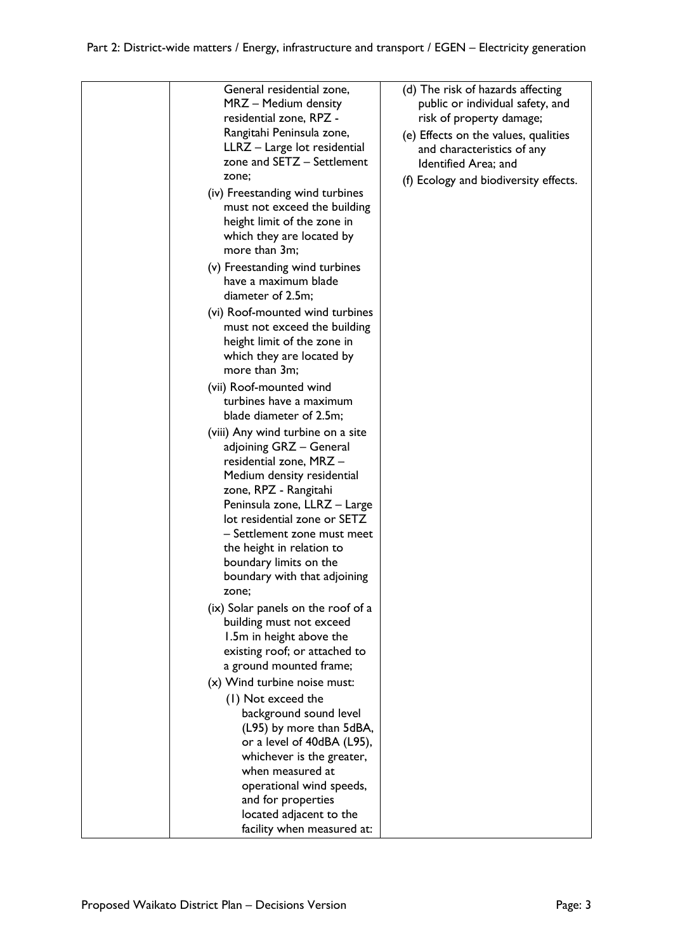| zone;<br>more than 3m;<br>diameter of 2.5m;<br>more than 3m;<br>(vii) Roof-mounted wind | General residential zone,<br>MRZ - Medium density<br>residential zone, RPZ -<br>Rangitahi Peninsula zone,<br>LLRZ - Large lot residential<br>zone and SETZ - Settlement<br>(iv) Freestanding wind turbines<br>must not exceed the building<br>height limit of the zone in<br>which they are located by<br>(v) Freestanding wind turbines<br>have a maximum blade<br>(vi) Roof-mounted wind turbines<br>must not exceed the building<br>height limit of the zone in<br>which they are located by | (d) The risk of hazards affecting<br>public or individual safety, and<br>risk of property damage;<br>(e) Effects on the values, qualities<br>and characteristics of any<br>Identified Area; and<br>(f) Ecology and biodiversity effects. |
|-----------------------------------------------------------------------------------------|-------------------------------------------------------------------------------------------------------------------------------------------------------------------------------------------------------------------------------------------------------------------------------------------------------------------------------------------------------------------------------------------------------------------------------------------------------------------------------------------------|------------------------------------------------------------------------------------------------------------------------------------------------------------------------------------------------------------------------------------------|
|                                                                                         | turbines have a maximum                                                                                                                                                                                                                                                                                                                                                                                                                                                                         |                                                                                                                                                                                                                                          |
|                                                                                         | blade diameter of 2.5m;                                                                                                                                                                                                                                                                                                                                                                                                                                                                         |                                                                                                                                                                                                                                          |
| zone;                                                                                   | (viii) Any wind turbine on a site<br>adjoining GRZ - General<br>residential zone, MRZ -<br>Medium density residential<br>zone, RPZ - Rangitahi<br>Peninsula zone, LLRZ - Large<br>lot residential zone or SETZ<br>- Settlement zone must meet<br>the height in relation to<br>boundary limits on the<br>boundary with that adjoining                                                                                                                                                            |                                                                                                                                                                                                                                          |
|                                                                                         | (ix) Solar panels on the roof of a                                                                                                                                                                                                                                                                                                                                                                                                                                                              |                                                                                                                                                                                                                                          |
|                                                                                         | building must not exceed<br>1.5m in height above the<br>existing roof; or attached to<br>a ground mounted frame;                                                                                                                                                                                                                                                                                                                                                                                |                                                                                                                                                                                                                                          |
|                                                                                         | (x) Wind turbine noise must:                                                                                                                                                                                                                                                                                                                                                                                                                                                                    |                                                                                                                                                                                                                                          |
| (1) Not exceed the                                                                      | background sound level<br>(L95) by more than 5dBA,<br>or a level of 40dBA (L95),<br>whichever is the greater,<br>when measured at<br>operational wind speeds,                                                                                                                                                                                                                                                                                                                                   |                                                                                                                                                                                                                                          |
|                                                                                         | and for properties<br>located adjacent to the<br>facility when measured at:                                                                                                                                                                                                                                                                                                                                                                                                                     |                                                                                                                                                                                                                                          |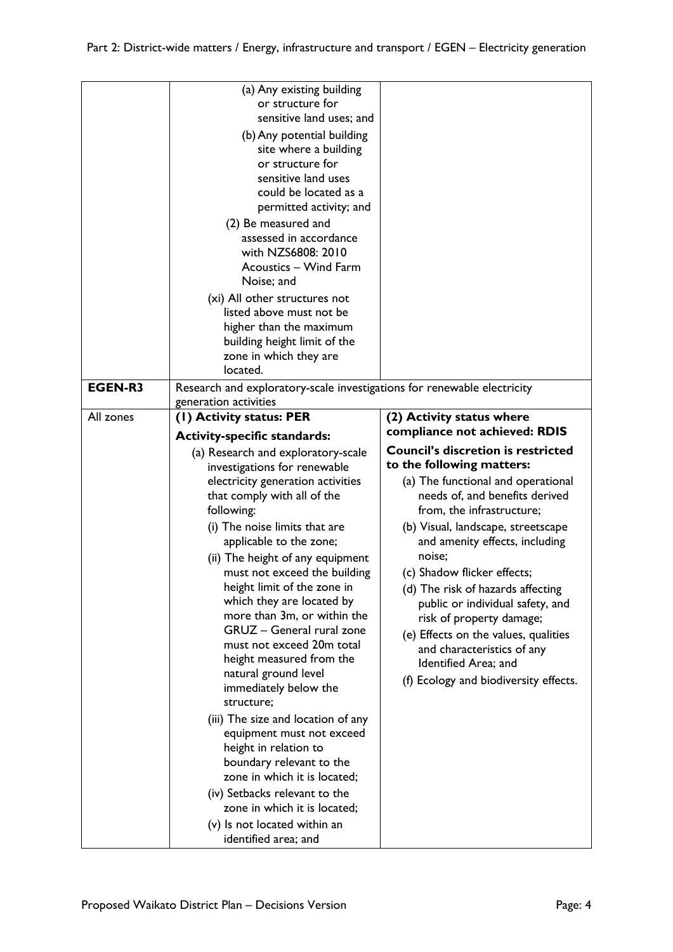|                | (a) Any existing building<br>or structure for<br>sensitive land uses; and<br>(b) Any potential building<br>site where a building<br>or structure for<br>sensitive land uses<br>could be located as a<br>permitted activity; and<br>(2) Be measured and<br>assessed in accordance<br>with NZS6808: 2010<br>Acoustics - Wind Farm<br>Noise; and<br>(xi) All other structures not<br>listed above must not be<br>higher than the maximum<br>building height limit of the<br>zone in which they are<br>located. |                                                                        |
|----------------|-------------------------------------------------------------------------------------------------------------------------------------------------------------------------------------------------------------------------------------------------------------------------------------------------------------------------------------------------------------------------------------------------------------------------------------------------------------------------------------------------------------|------------------------------------------------------------------------|
| <b>EGEN-R3</b> | Research and exploratory-scale investigations for renewable electricity<br>generation activities                                                                                                                                                                                                                                                                                                                                                                                                            |                                                                        |
| All zones      | (1) Activity status: PER                                                                                                                                                                                                                                                                                                                                                                                                                                                                                    | (2) Activity status where                                              |
|                | <b>Activity-specific standards:</b>                                                                                                                                                                                                                                                                                                                                                                                                                                                                         | compliance not achieved: RDIS                                          |
|                | (a) Research and exploratory-scale                                                                                                                                                                                                                                                                                                                                                                                                                                                                          | <b>Council's discretion is restricted</b><br>to the following matters: |
|                | investigations for renewable<br>electricity generation activities                                                                                                                                                                                                                                                                                                                                                                                                                                           | (a) The functional and operational                                     |
|                | that comply with all of the                                                                                                                                                                                                                                                                                                                                                                                                                                                                                 | needs of, and benefits derived                                         |
|                | following:                                                                                                                                                                                                                                                                                                                                                                                                                                                                                                  | from, the infrastructure;                                              |
|                | (i) The noise limits that are                                                                                                                                                                                                                                                                                                                                                                                                                                                                               | (b) Visual, landscape, streetscape                                     |
|                | applicable to the zone;                                                                                                                                                                                                                                                                                                                                                                                                                                                                                     | and amenity effects, including                                         |
|                | (ii) The height of any equipment                                                                                                                                                                                                                                                                                                                                                                                                                                                                            | noise;                                                                 |
|                | must not exceed the building<br>height limit of the zone in                                                                                                                                                                                                                                                                                                                                                                                                                                                 | (c) Shadow flicker effects;                                            |
|                | which they are located by                                                                                                                                                                                                                                                                                                                                                                                                                                                                                   | (d) The risk of hazards affecting<br>public or individual safety, and  |
|                | more than 3m, or within the                                                                                                                                                                                                                                                                                                                                                                                                                                                                                 | risk of property damage;                                               |
|                | GRUZ - General rural zone                                                                                                                                                                                                                                                                                                                                                                                                                                                                                   | (e) Effects on the values, qualities                                   |
|                | must not exceed 20m total                                                                                                                                                                                                                                                                                                                                                                                                                                                                                   | and characteristics of any                                             |
|                | height measured from the<br>natural ground level                                                                                                                                                                                                                                                                                                                                                                                                                                                            | Identified Area; and                                                   |
|                | immediately below the<br>structure;                                                                                                                                                                                                                                                                                                                                                                                                                                                                         | (f) Ecology and biodiversity effects.                                  |
|                | (iii) The size and location of any                                                                                                                                                                                                                                                                                                                                                                                                                                                                          |                                                                        |
|                | equipment must not exceed                                                                                                                                                                                                                                                                                                                                                                                                                                                                                   |                                                                        |
|                | height in relation to                                                                                                                                                                                                                                                                                                                                                                                                                                                                                       |                                                                        |
|                | boundary relevant to the<br>zone in which it is located;                                                                                                                                                                                                                                                                                                                                                                                                                                                    |                                                                        |
|                | (iv) Setbacks relevant to the                                                                                                                                                                                                                                                                                                                                                                                                                                                                               |                                                                        |
|                | zone in which it is located;                                                                                                                                                                                                                                                                                                                                                                                                                                                                                |                                                                        |
|                | (v) Is not located within an                                                                                                                                                                                                                                                                                                                                                                                                                                                                                |                                                                        |
|                | identified area; and                                                                                                                                                                                                                                                                                                                                                                                                                                                                                        |                                                                        |